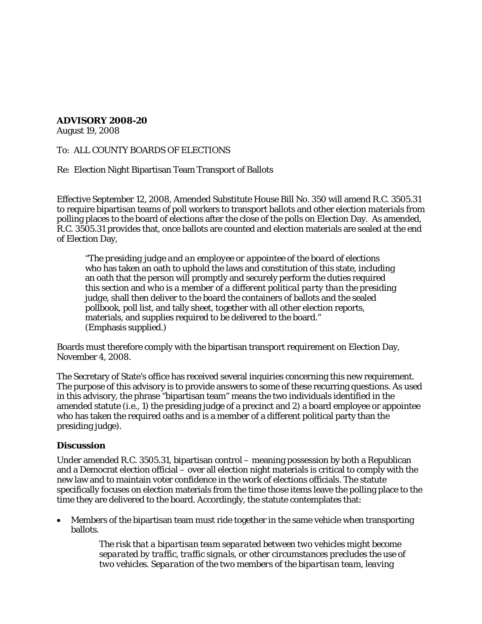## **ADVISORY 2008-20**

August 19, 2008

## To: ALL COUNTY BOARDS OF ELECTIONS

Re: Election Night Bipartisan Team Transport of Ballots

Effective September 12, 2008, Amended Substitute House Bill No. 350 will amend R.C. 3505.31 to require bipartisan teams of poll workers to transport ballots and other election materials from polling places to the board of elections after the close of the polls on Election Day. As amended, R.C. 3505.31 provides that, once ballots are counted and election materials are sealed at the end of Election Day,

"*The presiding judge and an employee or appointee of the board of elections* who has taken an oath to uphold the laws and constitution of this state, including an oath that the person will promptly and securely perform the duties required this section and *who is a member of a different political party than the presiding judge,* shall then deliver to the board the containers of ballots and the sealed pollbook, poll list, and tally sheet, together with all other election reports, materials, and supplies required to be delivered to the board." (Emphasis supplied.)

Boards must therefore comply with the bipartisan transport requirement on Election Day, November 4, 2008.

The Secretary of State's office has received several inquiries concerning this new requirement. The purpose of this advisory is to provide answers to some of these recurring questions. As used in this advisory, the phrase "bipartisan team" means the two individuals identified in the amended statute (i.e., 1) the presiding judge of a precinct and 2) a board employee or appointee who has taken the required oaths and is a member of a different political party than the presiding judge).

## **Discussion**

Under amended R.C. 3505.31, bipartisan control – meaning possession by both a Republican and a Democrat election official – over all election night materials is critical to comply with the new law and to maintain voter confidence in the work of elections officials. The statute specifically focuses on election materials from the time those items leave the polling place to the time they are delivered to the board. Accordingly, the statute contemplates that:

• Members of the bipartisan team must ride together in the same vehicle when transporting ballots.

> *The risk that a bipartisan team separated between two vehicles might become separated by traffic, traffic signals, or other circumstances precludes the use of two vehicles. Separation of the two members of the bipartisan team, leaving*